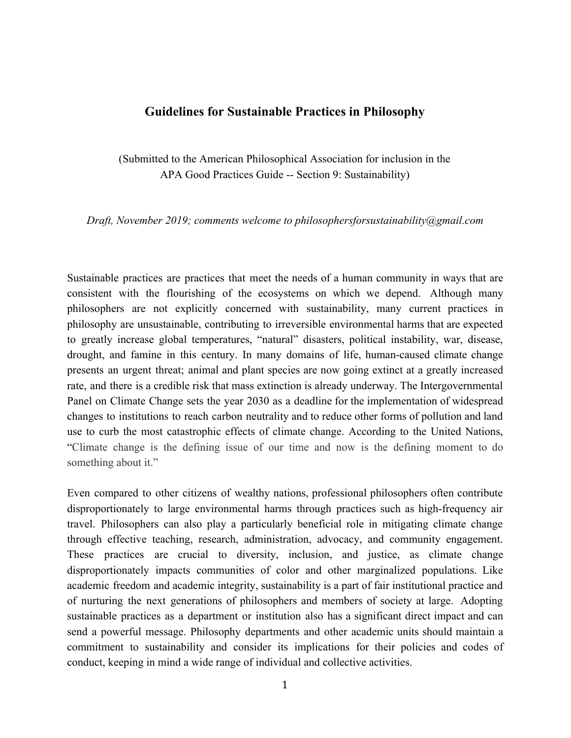#### **Guidelines for Sustainable Practices in Philosophy**

(Submitted to the American Philosophical Association for inclusion in the APA Good Practices Guide -- Section 9: Sustainability)

*Draft, November 2019; comments welcome to philosophersforsustainability@gmail.com*

Sustainable practices are practices that meet the needs of a human community in ways that are consistent with the flourishing of the ecosystems on which we depend. Although many philosophers are not explicitly concerned with sustainability, many current practices in philosophy are unsustainable, contributing to irreversible environmental harms that are expected to greatly increase global temperatures, "natural" disasters, political instability, war, disease, drought, and famine in this century. In many domains of life, human-caused climate change presents an urgent threat; animal and plant species are now going extinct at a greatly increased rate, and there is a credible risk that mass extinction is already underway. The Intergovernmental Panel on Climate Change sets the year 2030 as a deadline for the implementation of widespread changes to institutions to reach carbon neutrality and to reduce other forms of pollution and land use to curb the most catastrophic effects of climate change. According to the United Nations, "Climate change is the defining issue of our time and now is the defining moment to do something about it."

Even compared to other citizens of wealthy nations, professional philosophers often contribute disproportionately to large environmental harms through practices such as high-frequency air travel. Philosophers can also play a particularly beneficial role in mitigating climate change through effective teaching, research, administration, advocacy, and community engagement. These practices are crucial to diversity, inclusion, and justice, as climate change disproportionately impacts communities of color and other marginalized populations. Like academic freedom and academic integrity, sustainability is a part of fair institutional practice and of nurturing the next generations of philosophers and members of society at large. Adopting sustainable practices as a department or institution also has a significant direct impact and can send a powerful message. Philosophy departments and other academic units should maintain a commitment to sustainability and consider its implications for their policies and codes of conduct, keeping in mind a wide range of individual and collective activities.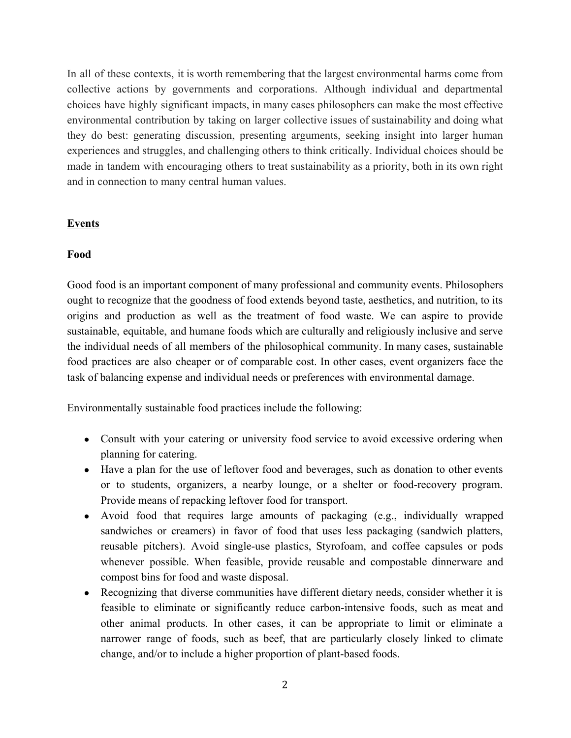In all of these contexts, it is worth remembering that the largest environmental harms come from collective actions by governments and corporations. Although individual and departmental choices have highly significant impacts, in many cases philosophers can make the most effective environmental contribution by taking on larger collective issues of sustainability and doing what they do best: generating discussion, presenting arguments, seeking insight into larger human experiences and struggles, and challenging others to think critically. Individual choices should be made in tandem with encouraging others to treat sustainability as a priority, both in its own right and in connection to many central human values.

#### **Events**

#### **Food**

Good food is an important component of many professional and community events. Philosophers ought to recognize that the goodness of food extends beyond taste, aesthetics, and nutrition, to its origins and production as well as the treatment of food waste. We can aspire to provide sustainable, equitable, and humane foods which are culturally and religiously inclusive and serve the individual needs of all members of the philosophical community. In many cases, sustainable food practices are also cheaper or of comparable cost. In other cases, event organizers face the task of balancing expense and individual needs or preferences with environmental damage.

Environmentally sustainable food practices include the following:

- Consult with your catering or university food service to avoid excessive ordering when planning for catering.
- Have a plan for the use of leftover food and beverages, such as donation to other events or to students, organizers, a nearby lounge, or a shelter or food-recovery program. Provide means of repacking leftover food for transport.
- Avoid food that requires large amounts of packaging (e.g., individually wrapped sandwiches or creamers) in favor of food that uses less packaging (sandwich platters, reusable pitchers). Avoid single-use plastics, Styrofoam, and coffee capsules or pods whenever possible. When feasible, provide reusable and compostable dinnerware and compost bins for food and waste disposal.
- Recognizing that diverse communities have different dietary needs, consider whether it is feasible to eliminate or significantly reduce carbon-intensive foods, such as meat and other animal products. In other cases, it can be appropriate to limit or eliminate a narrower range of foods, such as beef, that are particularly closely linked to climate change, and/or to include a higher proportion of plant-based foods.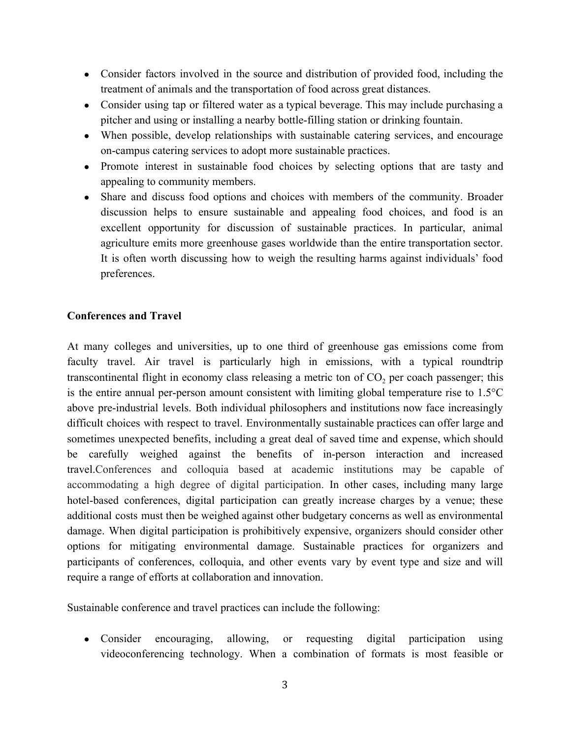- Consider factors involved in the source and distribution of provided food, including the treatment of animals and the transportation of food across great distances.
- Consider using tap or filtered water as a typical beverage. This may include purchasing a pitcher and using or installing a nearby bottle-filling station or drinking fountain.
- When possible, develop relationships with sustainable catering services, and encourage on-campus catering services to adopt more sustainable practices.
- Promote interest in sustainable food choices by selecting options that are tasty and appealing to community members.
- Share and discuss food options and choices with members of the community. Broader discussion helps to ensure sustainable and appealing food choices, and food is an excellent opportunity for discussion of sustainable practices. In particular, animal agriculture emits more greenhouse gases worldwide than the entire transportation sector. It is often worth discussing how to weigh the resulting harms against individuals' food preferences.

### **Conferences and Travel**

At many colleges and universities, up to one third of greenhouse gas emissions come from faculty travel. Air travel is particularly high in emissions, with a typical roundtrip transcontinental flight in economy class releasing a metric ton of  $CO<sub>2</sub>$  per coach passenger; this is the entire annual per-person amount consistent with limiting global temperature rise to 1.5°C above pre-industrial levels. Both individual philosophers and institutions now face increasingly difficult choices with respect to travel. Environmentally sustainable practices can offer large and sometimes unexpected benefits, including a great deal of saved time and expense, which should be carefully weighed against the benefits of in-person interaction and increased travel.Conferences and colloquia based at academic institutions may be capable of accommodating a high degree of digital participation. In other cases, including many large hotel-based conferences, digital participation can greatly increase charges by a venue; these additional costs must then be weighed against other budgetary concerns as well as environmental damage. When digital participation is prohibitively expensive, organizers should consider other options for mitigating environmental damage. Sustainable practices for organizers and participants of conferences, colloquia, and other events vary by event type and size and will require a range of efforts at collaboration and innovation.

Sustainable conference and travel practices can include the following:

• Consider encouraging, allowing, or requesting digital participation using videoconferencing technology. When a combination of formats is most feasible or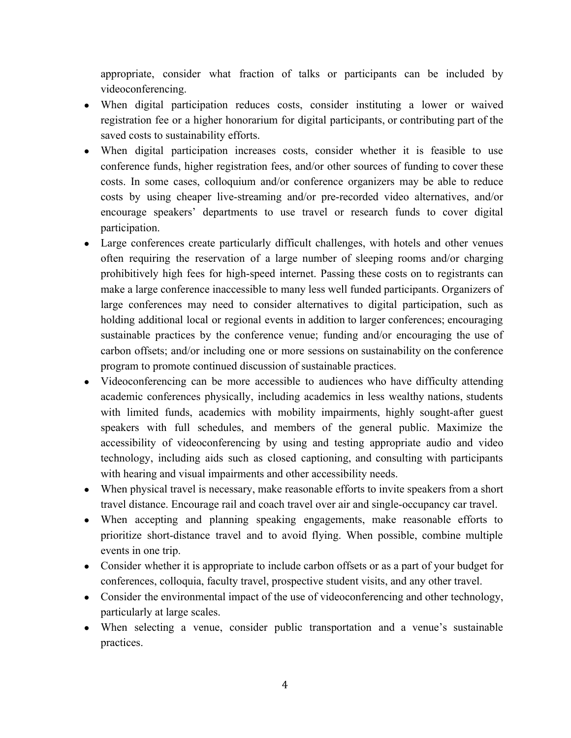appropriate, consider what fraction of talks or participants can be included by videoconferencing.

- When digital participation reduces costs, consider instituting a lower or waived registration fee or a higher honorarium for digital participants, or contributing part of the saved costs to sustainability efforts.
- When digital participation increases costs, consider whether it is feasible to use conference funds, higher registration fees, and/or other sources of funding to cover these costs. In some cases, colloquium and/or conference organizers may be able to reduce costs by using cheaper live-streaming and/or pre-recorded video alternatives, and/or encourage speakers' departments to use travel or research funds to cover digital participation.
- Large conferences create particularly difficult challenges, with hotels and other venues often requiring the reservation of a large number of sleeping rooms and/or charging prohibitively high fees for high-speed internet. Passing these costs on to registrants can make a large conference inaccessible to many less well funded participants. Organizers of large conferences may need to consider alternatives to digital participation, such as holding additional local or regional events in addition to larger conferences; encouraging sustainable practices by the conference venue; funding and/or encouraging the use of carbon offsets; and/or including one or more sessions on sustainability on the conference program to promote continued discussion of sustainable practices.
- Videoconferencing can be more accessible to audiences who have difficulty attending academic conferences physically, including academics in less wealthy nations, students with limited funds, academics with mobility impairments, highly sought-after guest speakers with full schedules, and members of the general public. Maximize the accessibility of videoconferencing by using and testing appropriate audio and video technology, including aids such as closed captioning, and consulting with participants with hearing and visual impairments and other accessibility needs.
- When physical travel is necessary, make reasonable efforts to invite speakers from a short travel distance. Encourage rail and coach travel over air and single-occupancy car travel.
- When accepting and planning speaking engagements, make reasonable efforts to prioritize short-distance travel and to avoid flying. When possible, combine multiple events in one trip.
- Consider whether it is appropriate to include carbon offsets or as a part of your budget for conferences, colloquia, faculty travel, prospective student visits, and any other travel.
- Consider the environmental impact of the use of videoconferencing and other technology, particularly at large scales.
- When selecting a venue, consider public transportation and a venue's sustainable practices.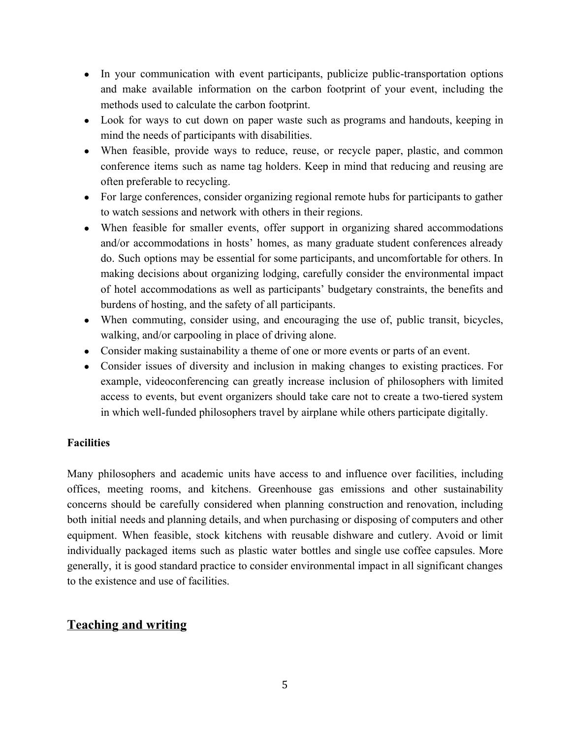- In your communication with event participants, publicize public-transportation options and make available information on the carbon footprint of your event, including the methods used to calculate the carbon footprint.
- Look for ways to cut down on paper waste such as programs and handouts, keeping in mind the needs of participants with disabilities.
- When feasible, provide ways to reduce, reuse, or recycle paper, plastic, and common conference items such as name tag holders. Keep in mind that reducing and reusing are often preferable to recycling.
- For large conferences, consider organizing regional remote hubs for participants to gather to watch sessions and network with others in their regions.
- When feasible for smaller events, offer support in organizing shared accommodations and/or accommodations in hosts' homes, as many graduate student conferences already do. Such options may be essential for some participants, and uncomfortable for others. In making decisions about organizing lodging, carefully consider the environmental impact of hotel accommodations as well as participants' budgetary constraints, the benefits and burdens of hosting, and the safety of all participants.
- When commuting, consider using, and encouraging the use of, public transit, bicycles, walking, and/or carpooling in place of driving alone.
- Consider making sustainability a theme of one or more events or parts of an event.
- Consider issues of diversity and inclusion in making changes to existing practices. For example, videoconferencing can greatly increase inclusion of philosophers with limited access to events, but event organizers should take care not to create a two-tiered system in which well-funded philosophers travel by airplane while others participate digitally.

## **Facilities**

Many philosophers and academic units have access to and influence over facilities, including offices, meeting rooms, and kitchens. Greenhouse gas emissions and other sustainability concerns should be carefully considered when planning construction and renovation, including both initial needs and planning details, and when purchasing or disposing of computers and other equipment. When feasible, stock kitchens with reusable dishware and cutlery. Avoid or limit individually packaged items such as plastic water bottles and single use coffee capsules. More generally, it is good standard practice to consider environmental impact in all significant changes to the existence and use of facilities.

# **Teaching and writing**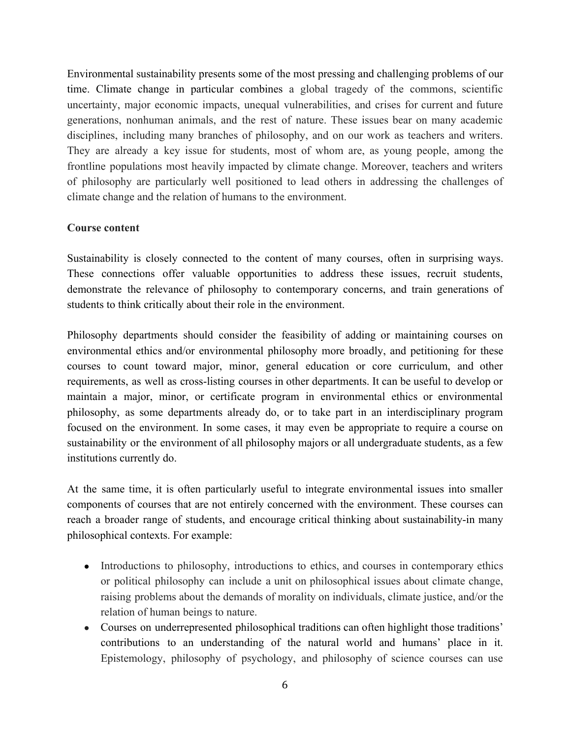Environmental sustainability presents some of the most pressing and challenging problems of our time. Climate change in particular combines a global tragedy of the commons, scientific uncertainty, major economic impacts, unequal vulnerabilities, and crises for current and future generations, nonhuman animals, and the rest of nature. These issues bear on many academic disciplines, including many branches of philosophy, and on our work as teachers and writers. They are already a key issue for students, most of whom are, as young people, among the frontline populations most heavily impacted by climate change. Moreover, teachers and writers of philosophy are particularly well positioned to lead others in addressing the challenges of climate change and the relation of humans to the environment.

#### **Course content**

Sustainability is closely connected to the content of many courses, often in surprising ways. These connections offer valuable opportunities to address these issues, recruit students, demonstrate the relevance of philosophy to contemporary concerns, and train generations of students to think critically about their role in the environment.

Philosophy departments should consider the feasibility of adding or maintaining courses on environmental ethics and/or environmental philosophy more broadly, and petitioning for these courses to count toward major, minor, general education or core curriculum, and other requirements, as well as cross-listing courses in other departments. It can be useful to develop or maintain a major, minor, or certificate program in environmental ethics or environmental philosophy, as some departments already do, or to take part in an interdisciplinary program focused on the environment. In some cases, it may even be appropriate to require a course on sustainability or the environment of all philosophy majors or all undergraduate students, as a few institutions currently do.

At the same time, it is often particularly useful to integrate environmental issues into smaller components of courses that are not entirely concerned with the environment. These courses can reach a broader range of students, and encourage critical thinking about sustainability-in many philosophical contexts. For example:

- Introductions to philosophy, introductions to ethics, and courses in contemporary ethics or political philosophy can include a unit on philosophical issues about climate change, raising problems about the demands of morality on individuals, climate justice, and/or the relation of human beings to nature.
- Courses on underrepresented philosophical traditions can often highlight those traditions' contributions to an understanding of the natural world and humans' place in it. Epistemology, philosophy of psychology, and philosophy of science courses can use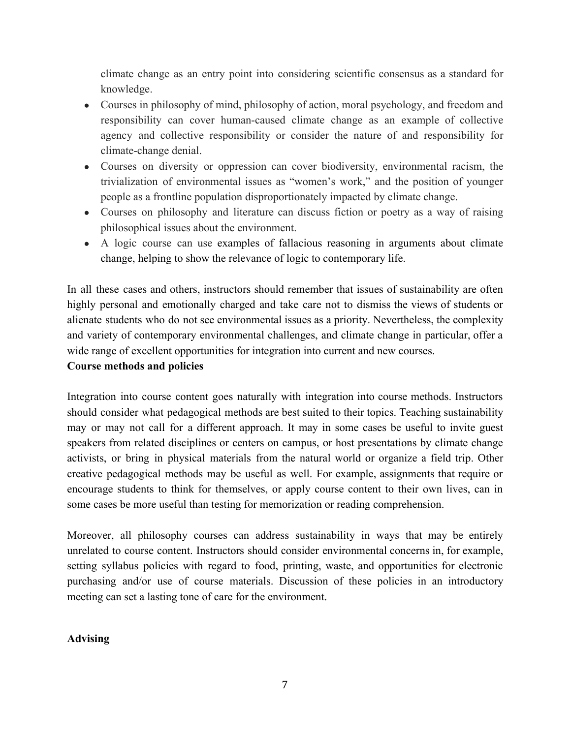climate change as an entry point into considering scientific consensus as a standard for knowledge.

- Courses in philosophy of mind, philosophy of action, moral psychology, and freedom and responsibility can cover human-caused climate change as an example of collective agency and collective responsibility or consider the nature of and responsibility for climate-change denial.
- Courses on diversity or oppression can cover biodiversity, environmental racism, the trivialization of environmental issues as "women's work," and the position of younger people as a frontline population disproportionately impacted by climate change.
- Courses on philosophy and literature can discuss fiction or poetry as a way of raising philosophical issues about the environment.
- A logic course can use examples of fallacious reasoning in arguments about climate change, helping to show the relevance of logic to contemporary life.

In all these cases and others, instructors should remember that issues of sustainability are often highly personal and emotionally charged and take care not to dismiss the views of students or alienate students who do not see environmental issues as a priority. Nevertheless, the complexity and variety of contemporary environmental challenges, and climate change in particular, offer a wide range of excellent opportunities for integration into current and new courses.

#### **Course methods and policies**

Integration into course content goes naturally with integration into course methods. Instructors should consider what pedagogical methods are best suited to their topics. Teaching sustainability may or may not call for a different approach. It may in some cases be useful to invite guest speakers from related disciplines or centers on campus, or host presentations by climate change activists, or bring in physical materials from the natural world or organize a field trip. Other creative pedagogical methods may be useful as well. For example, assignments that require or encourage students to think for themselves, or apply course content to their own lives, can in some cases be more useful than testing for memorization or reading comprehension.

Moreover, all philosophy courses can address sustainability in ways that may be entirely unrelated to course content. Instructors should consider environmental concerns in, for example, setting syllabus policies with regard to food, printing, waste, and opportunities for electronic purchasing and/or use of course materials. Discussion of these policies in an introductory meeting can set a lasting tone of care for the environment.

#### **Advising**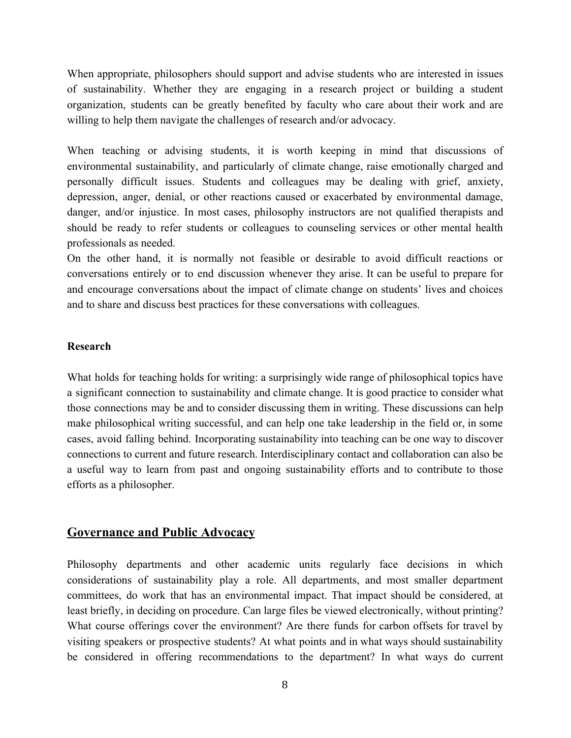When appropriate, philosophers should support and advise students who are interested in issues of sustainability. Whether they are engaging in a research project or building a student organization, students can be greatly benefited by faculty who care about their work and are willing to help them navigate the challenges of research and/or advocacy.

When teaching or advising students, it is worth keeping in mind that discussions of environmental sustainability, and particularly of climate change, raise emotionally charged and personally difficult issues. Students and colleagues may be dealing with grief, anxiety, depression, anger, denial, or other reactions caused or exacerbated by environmental damage, danger, and/or injustice. In most cases, philosophy instructors are not qualified therapists and should be ready to refer students or colleagues to counseling services or other mental health professionals as needed.

On the other hand, it is normally not feasible or desirable to avoid difficult reactions or conversations entirely or to end discussion whenever they arise. It can be useful to prepare for and encourage conversations about the impact of climate change on students' lives and choices and to share and discuss best practices for these conversations with colleagues.

#### **Research**

What holds for teaching holds for writing: a surprisingly wide range of philosophical topics have a significant connection to sustainability and climate change. It is good practice to consider what those connections may be and to consider discussing them in writing. These discussions can help make philosophical writing successful, and can help one take leadership in the field or, in some cases, avoid falling behind. Incorporating sustainability into teaching can be one way to discover connections to current and future research. Interdisciplinary contact and collaboration can also be a useful way to learn from past and ongoing sustainability efforts and to contribute to those efforts as a philosopher.

## **Governance and Public Advocacy**

Philosophy departments and other academic units regularly face decisions in which considerations of sustainability play a role. All departments, and most smaller department committees, do work that has an environmental impact. That impact should be considered, at least briefly, in deciding on procedure. Can large files be viewed electronically, without printing? What course offerings cover the environment? Are there funds for carbon offsets for travel by visiting speakers or prospective students? At what points and in what ways should sustainability be considered in offering recommendations to the department? In what ways do current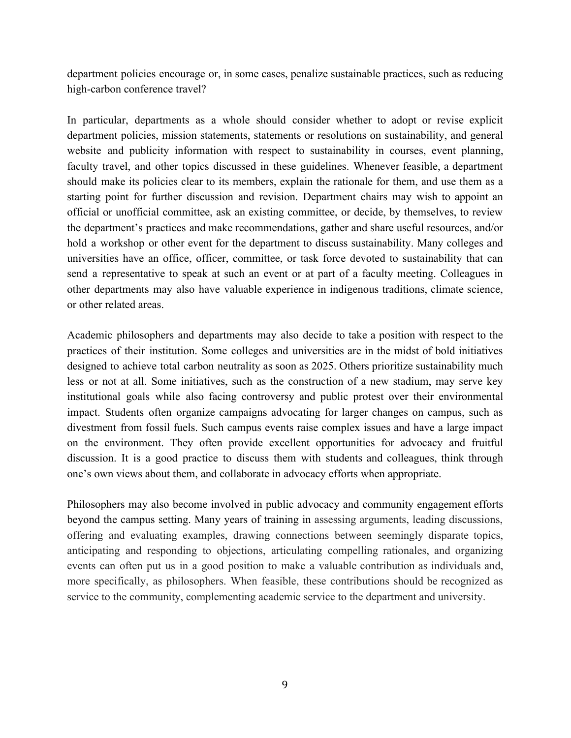department policies encourage or, in some cases, penalize sustainable practices, such as reducing high-carbon conference travel?

In particular, departments as a whole should consider whether to adopt or revise explicit department policies, mission statements, statements or resolutions on sustainability, and general website and publicity information with respect to sustainability in courses, event planning, faculty travel, and other topics discussed in these guidelines. Whenever feasible, a department should make its policies clear to its members, explain the rationale for them, and use them as a starting point for further discussion and revision. Department chairs may wish to appoint an official or unofficial committee, ask an existing committee, or decide, by themselves, to review the department's practices and make recommendations, gather and share useful resources, and/or hold a workshop or other event for the department to discuss sustainability. Many colleges and universities have an office, officer, committee, or task force devoted to sustainability that can send a representative to speak at such an event or at part of a faculty meeting. Colleagues in other departments may also have valuable experience in indigenous traditions, climate science, or other related areas.

Academic philosophers and departments may also decide to take a position with respect to the practices of their institution. Some colleges and universities are in the midst of bold initiatives designed to achieve total carbon neutrality as soon as 2025. Others prioritize sustainability much less or not at all. Some initiatives, such as the construction of a new stadium, may serve key institutional goals while also facing controversy and public protest over their environmental impact. Students often organize campaigns advocating for larger changes on campus, such as divestment from fossil fuels. Such campus events raise complex issues and have a large impact on the environment. They often provide excellent opportunities for advocacy and fruitful discussion. It is a good practice to discuss them with students and colleagues, think through one's own views about them, and collaborate in advocacy efforts when appropriate.

Philosophers may also become involved in public advocacy and community engagement efforts beyond the campus setting. Many years of training in assessing arguments, leading discussions, offering and evaluating examples, drawing connections between seemingly disparate topics, anticipating and responding to objections, articulating compelling rationales, and organizing events can often put us in a good position to make a valuable contribution as individuals and, more specifically, as philosophers. When feasible, these contributions should be recognized as service to the community, complementing academic service to the department and university.